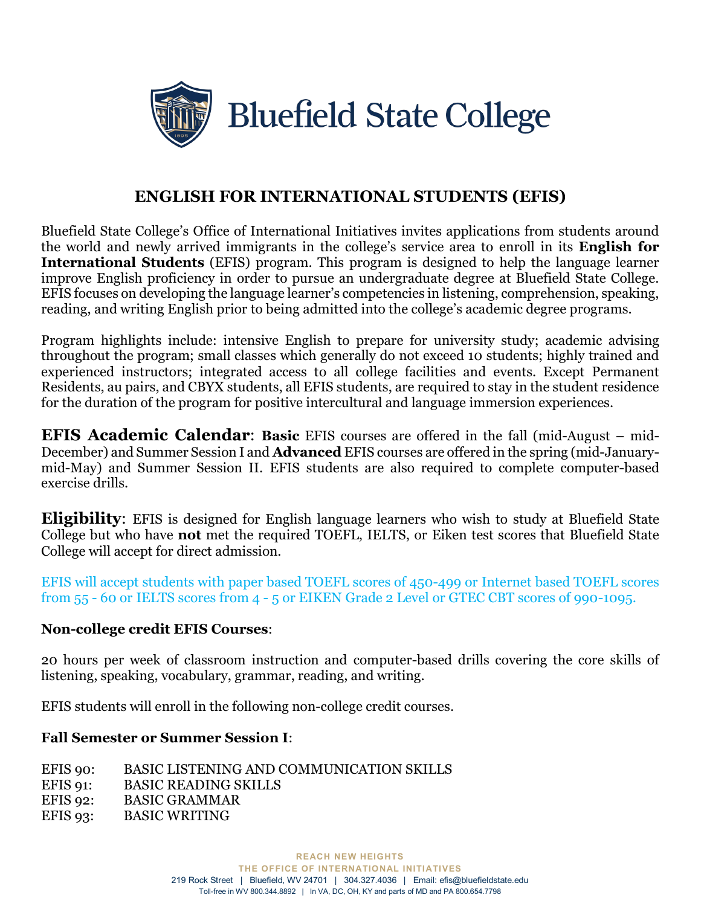

# **ENGLISH FOR INTERNATIONAL STUDENTS (EFIS)**

Bluefield State College's Office of International Initiatives invites applications from students around the world and newly arrived immigrants in the college's service area to enroll in its **English for International Students** (EFIS) program. This program is designed to help the language learner improve English proficiency in order to pursue an undergraduate degree at Bluefield State College. EFIS focuses on developing the language learner's competencies in listening, comprehension, speaking, reading, and writing English prior to being admitted into the college's academic degree programs.

Program highlights include: intensive English to prepare for university study; academic advising throughout the program; small classes which generally do not exceed 10 students; highly trained and experienced instructors; integrated access to all college facilities and events. Except Permanent Residents, au pairs, and CBYX students, all EFIS students, are required to stay in the student residence for the duration of the program for positive intercultural and language immersion experiences.

**EFIS Academic Calendar**: **Basic** EFIS courses are offered in the fall (mid-August – mid-December) and Summer Session I and **Advanced** EFIS courses are offered in the spring (mid-Januarymid-May) and Summer Session II. EFIS students are also required to complete computer-based exercise drills.

**Eligibility**: EFIS is designed for English language learners who wish to study at Bluefield State College but who have **not** met the required TOEFL, IELTS, or Eiken test scores that Bluefield State College will accept for direct admission.

EFIS will accept students with paper based TOEFL scores of 450-499 or Internet based TOEFL scores from 55 - 60 or IELTS scores from 4 - 5 or EIKEN Grade 2 Level or GTEC CBT scores of 990-1095.

#### **Non-college credit EFIS Courses**:

20 hours per week of classroom instruction and computer-based drills covering the core skills of listening, speaking, vocabulary, grammar, reading, and writing.

EFIS students will enroll in the following non-college credit courses.

### **Fall Semester or Summer Session I**:

- EFIS 90: BASIC LISTENING AND COMMUNICATION SKILLS
- EFIS 91: BASIC READING SKILLS
- EFIS 92: BASIC GRAMMAR
- EFIS 93: BASIC WRITING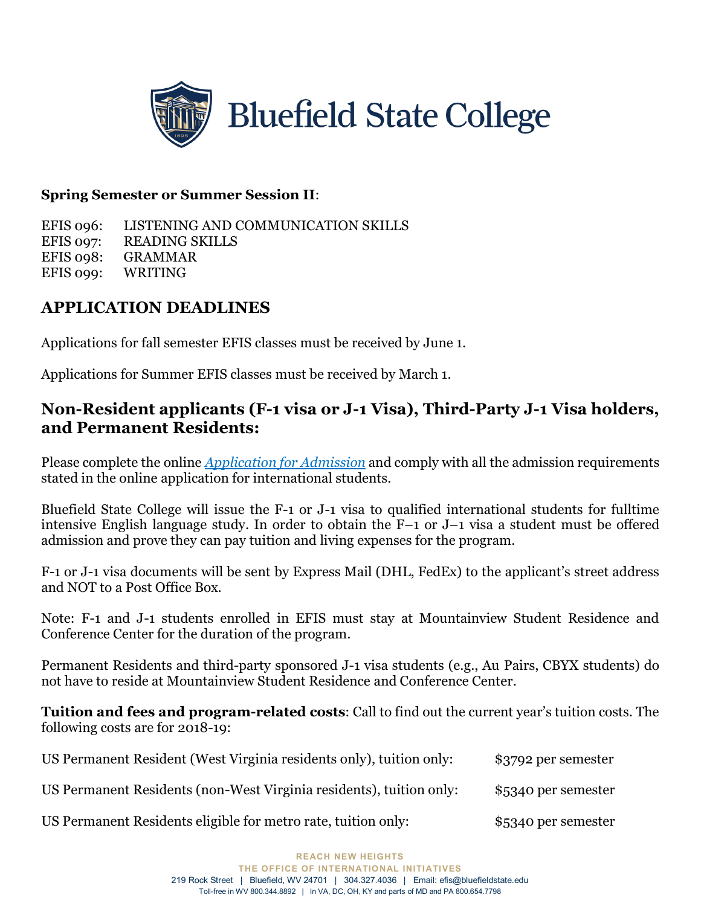

#### **Spring Semester or Summer Session II**:

EFIS 096: LISTENING AND COMMUNICATION SKILLS EFIS 097: READING SKILLS EFIS 098: GRAMMAR EFIS 099: WRITING

## **APPLICATION DEADLINES**

Applications for fall semester EFIS classes must be received by June 1.

Applications for Summer EFIS classes must be received by March 1.

## **Non-Resident applicants (F-1 visa or J-1 Visa), Third-Party J-1 Visa holders, and Permanent Residents:**

Please complete the online *Application for Admission* and comply with all the admission requirements stated in the online application for international students.

Bluefield State College will issue the F-1 or J-1 visa to qualified international students for fulltime intensive English language study. In order to obtain the F–1 or J–1 visa a student must be offered admission and prove they can pay tuition and living expenses for the program.

F-1 or J-1 visa documents will be sent by Express Mail (DHL, FedEx) to the applicant's street address and NOT to a Post Office Box.

Note: F-1 and J-1 students enrolled in EFIS must stay at Mountainview Student Residence and Conference Center for the duration of the program.

Permanent Residents and third-party sponsored J-1 visa students (e.g., Au Pairs, CBYX students) do not have to reside at Mountainview Student Residence and Conference Center.

**Tuition and fees and program-related costs**: Call to find out the current year's tuition costs. The following costs are for 2018-19:

| US Permanent Resident (West Virginia residents only), tuition only: | \$3792 per semester |
|---------------------------------------------------------------------|---------------------|
| US Permanent Residents (non-West Virginia residents), tuition only: | \$5340 per semester |
|                                                                     |                     |

US Permanent Residents eligible for metro rate, tuition only: \$5340 per semester